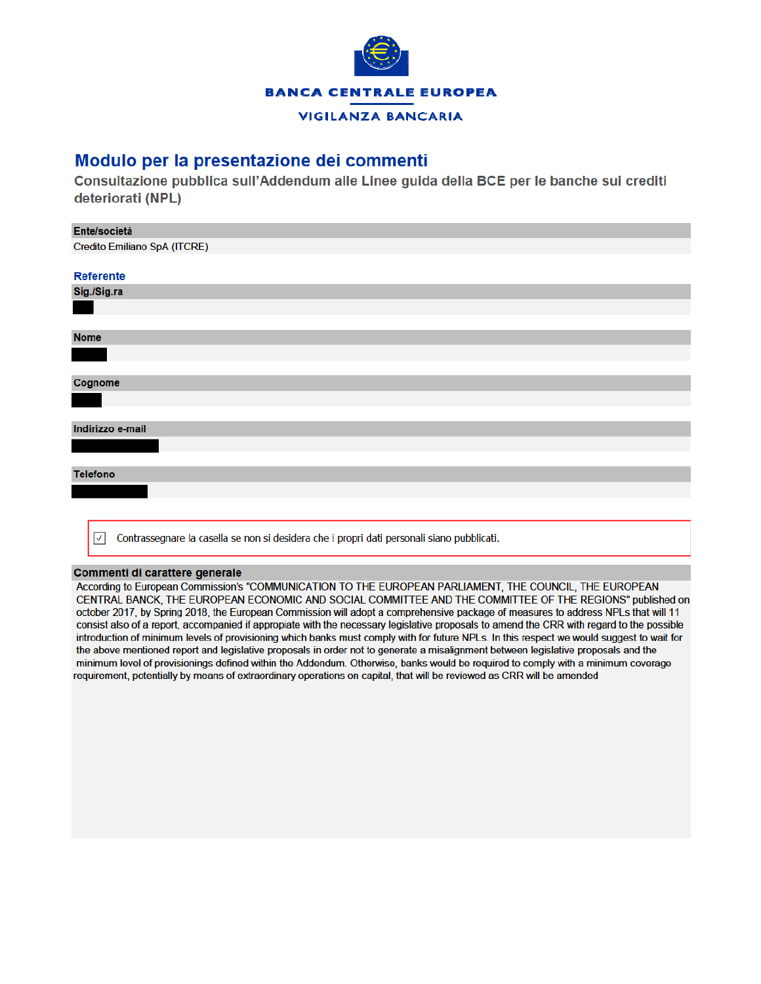

## **VIGILANZA BANCARIA**

## Modulo per la presentazione dei commenti

Consultazione pubblica sull'Addendum alle Linee guida della BCE per le banche sui crediti deteriorati (NPL)

| Ente/società                                                                                               |  |  |  |  |  |  |
|------------------------------------------------------------------------------------------------------------|--|--|--|--|--|--|
| Credito Emiliano SpA (ITCRE)                                                                               |  |  |  |  |  |  |
|                                                                                                            |  |  |  |  |  |  |
| <b>Referente</b>                                                                                           |  |  |  |  |  |  |
| Sig./Sig.ra                                                                                                |  |  |  |  |  |  |
|                                                                                                            |  |  |  |  |  |  |
|                                                                                                            |  |  |  |  |  |  |
| <b>Nome</b>                                                                                                |  |  |  |  |  |  |
|                                                                                                            |  |  |  |  |  |  |
|                                                                                                            |  |  |  |  |  |  |
| Cognome                                                                                                    |  |  |  |  |  |  |
|                                                                                                            |  |  |  |  |  |  |
|                                                                                                            |  |  |  |  |  |  |
| Indirizzo e-mail                                                                                           |  |  |  |  |  |  |
|                                                                                                            |  |  |  |  |  |  |
|                                                                                                            |  |  |  |  |  |  |
| <b>Telefono</b>                                                                                            |  |  |  |  |  |  |
|                                                                                                            |  |  |  |  |  |  |
|                                                                                                            |  |  |  |  |  |  |
|                                                                                                            |  |  |  |  |  |  |
| Contrassegnare la casella se non si desidera che i propri dati personali siano pubblicati.<br>$\checkmark$ |  |  |  |  |  |  |

## Commenti di carattere generale

According to European Commission's "COMMUNICATION TO THE EUROPEAN PARLIAMENT, THE COUNCIL, THE EUROPEAN CENTRAL BANCK, THE EUROPEAN ECONOMIC AND SOCIAL COMMITTEE AND THE COMMITTEE OF THE REGIONS" published on october 2017, by Spring 2018, the European Commission will adopt a comprehensive package of measures to address NPLs that will 11 consist also of a report, accompanied if appropiate with the necessary legislative proposals to amend the CRR with regard to the possible introduction of minimum levels of provisioning which banks must comply with for future NPLs. In this respect we would suggest to wait for the above mentioned report and legislative proposals in order not to generate a misalignment between legislative proposals and the minimum level of provisionings defined within the Addendum. Otherwise, banks would be required to comply with a minimum coverage requirement, potentially by means of extraordinary operations on capital, that will be reviewed as CRR will be amended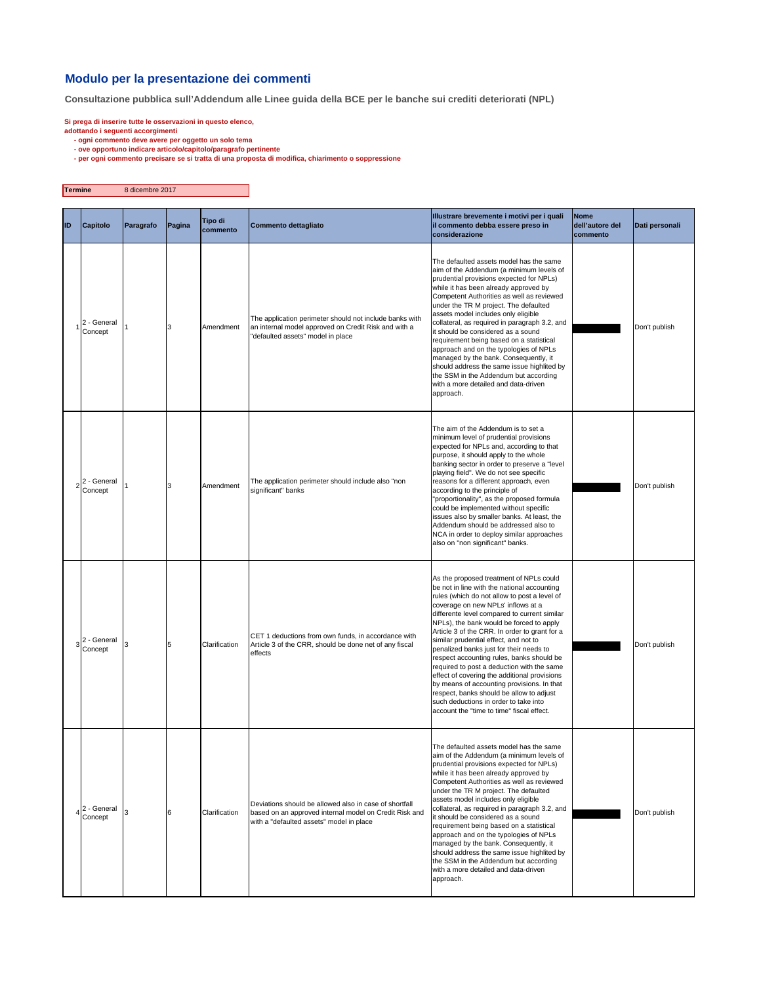## **Modulo per la presentazione dei commenti**

**Consultazione pubblica sull'Addendum alle Linee guida della BCE per le banche sui crediti deteriorati (NPL)**

- 
- Si prega di inserire tutte le osservazioni in questo elenco,<br>adottando i seguenti accorgimenti<br>- ogni commento deve avere per oggetto un solo tema<br>- ove opportuno indicare articolo/capitolo/paragrafo pertinente<br>- per ogni

| Termine   |                            | 8 dicembre 2017 |        |                            |                                                                                                                                                              |                                                                                                                                                                                                                                                                                                                                                                                                                                                                                                                                                                                                                                                                                                                                          |                                            |                |
|-----------|----------------------------|-----------------|--------|----------------------------|--------------------------------------------------------------------------------------------------------------------------------------------------------------|------------------------------------------------------------------------------------------------------------------------------------------------------------------------------------------------------------------------------------------------------------------------------------------------------------------------------------------------------------------------------------------------------------------------------------------------------------------------------------------------------------------------------------------------------------------------------------------------------------------------------------------------------------------------------------------------------------------------------------------|--------------------------------------------|----------------|
| <b>ID</b> | Capitolo                   | Paragrafo       | Pagina | <b>Tipo di</b><br>commento | Commento dettagliato                                                                                                                                         | Illustrare brevemente i motivi per i quali<br>il commento debba essere preso in<br>considerazione                                                                                                                                                                                                                                                                                                                                                                                                                                                                                                                                                                                                                                        | <b>Nome</b><br>dell'autore del<br>commento | Dati personali |
|           | 2 - General<br>Concept     |                 | 3      | Amendment                  | The application perimeter should not include banks with<br>an internal model approved on Credit Risk and with a<br>'defaulted assets" model in place         | The defaulted assets model has the same<br>aim of the Addendum (a minimum levels of<br>prudential provisions expected for NPLs)<br>while it has been already approved by<br>Competent Authorities as well as reviewed<br>under the TR M project. The defaulted<br>assets model includes only eligible<br>collateral, as required in paragraph 3.2, and<br>it should be considered as a sound<br>requirement being based on a statistical<br>approach and on the typologies of NPLs<br>managed by the bank. Consequently, it<br>should address the same issue highlited by<br>the SSM in the Addendum but according<br>with a more detailed and data-driven<br>approach.                                                                  |                                            | Don't publish  |
|           | $2^2$ - General<br>Concept |                 | 3      | Amendment                  | The application perimeter should include also "non<br>significant" banks                                                                                     | The aim of the Addendum is to set a<br>minimum level of prudential provisions<br>expected for NPLs and, according to that<br>purpose, it should apply to the whole<br>banking sector in order to preserve a "level<br>playing field". We do not see specific<br>reasons for a different approach, even<br>according to the principle of<br>"proportionality", as the proposed formula<br>could be implemented without specific<br>issues also by smaller banks. At least, the<br>Addendum should be addressed also to<br>NCA in order to deploy similar approaches<br>also on "non significant" banks.                                                                                                                                   |                                            | Don't publish  |
|           | $3^2$ - General<br>Concept | 3               | 5      | Clarification              | CET 1 deductions from own funds, in accordance with<br>Article 3 of the CRR, should be done net of any fiscal<br>effects                                     | As the proposed treatment of NPLs could<br>be not in line with the national accounting<br>rules (which do not allow to post a level of<br>coverage on new NPLs' inflows at a<br>differente level compared to current similar<br>NPLs), the bank would be forced to apply<br>Article 3 of the CRR. In order to grant for a<br>similar prudential effect, and not to<br>penalized banks just for their needs to<br>respect accounting rules, banks should be<br>required to post a deduction with the same<br>effect of covering the additional provisions<br>by means of accounting provisions. In that<br>respect, banks should be allow to adjust<br>such deductions in order to take into<br>account the "time to time" fiscal effect. |                                            | Don't publish  |
|           | 2 - General<br>Concept     |                 | 6      | Clarification              | Deviations should be allowed also in case of shortfall<br>based on an approved internal model on Credit Risk and<br>with a "defaulted assets" model in place | The defaulted assets model has the same<br>aim of the Addendum (a minimum levels of<br>prudential provisions expected for NPLs)<br>while it has been already approved by<br>Competent Authorities as well as reviewed<br>under the TR M project. The defaulted<br>assets model includes only eligible<br>collateral, as required in paragraph 3.2, and<br>it should be considered as a sound<br>requirement being based on a statistical<br>approach and on the typologies of NPLs<br>managed by the bank. Consequently, it<br>should address the same issue highlited by<br>the SSM in the Addendum but according<br>with a more detailed and data-driven<br>approach.                                                                  |                                            | Don't publish  |